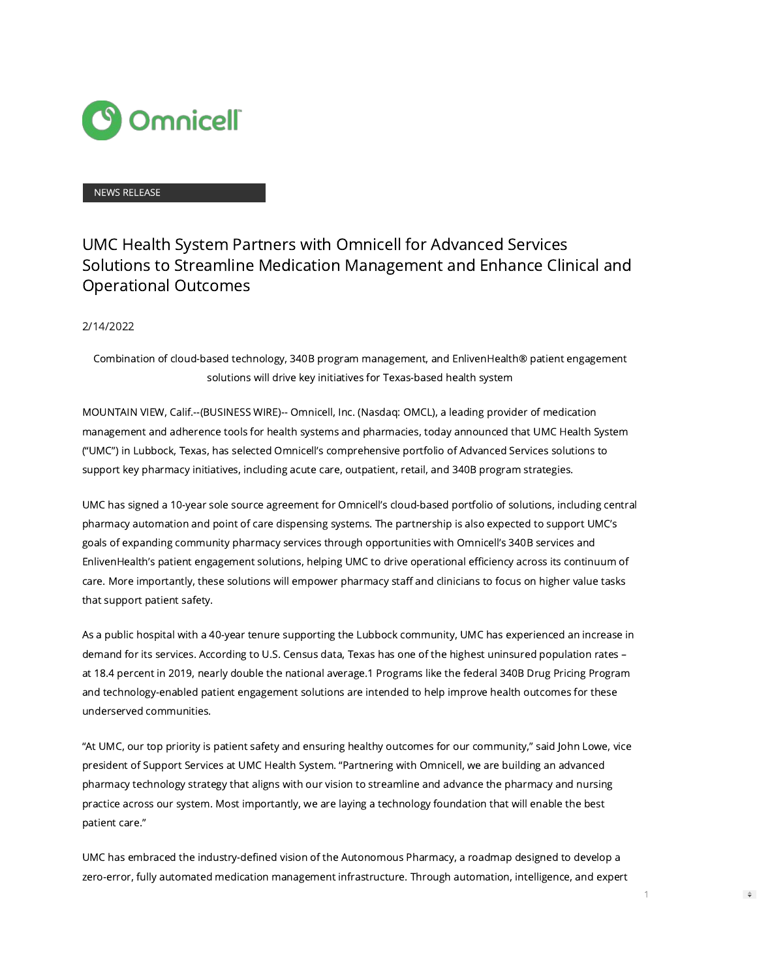

#### NEWS RELEASE

# UMC Health System Partners with Omnicell for Advanced Services Solutions to Streamline Medication Management and Enhance Clinical and Operational Outcomes

#### 2/14/2022

Combination of cloud-based technology, 340B program management, and EnlivenHealth® patient engagement solutions will drive key initiatives for Texas-based health system

MOUNTAIN VIEW, Calif.--(BUSINESS WIRE)-- Omnicell, Inc. (Nasdaq: OMCL), a leading provider of medication management and adherence tools for health systems and pharmacies, today announced that UMC Health System ("UMC") in Lubbock, Texas, has selected Omnicell's comprehensive portfolio of Advanced Services solutions to support key pharmacy initiatives, including acute care, outpatient, retail, and 340B program strategies.

UMC has signed a 10-year sole source agreement for Omnicell's cloud-based portfolio of solutions, including central pharmacy automation and point of care dispensing systems. The partnership is also expected to support UMC's goals of expanding community pharmacy services through opportunities with Omnicell's 340B services and EnlivenHealth's patient engagement solutions, helping UMC to drive operational efficiency across its continuum of care. More importantly, these solutions will empower pharmacy staff and clinicians to focus on higher value tasks that support patient safety.

As a public hospital with a 40-year tenure supporting the Lubbock community, UMC has experienced an increase in demand for its services. According to U.S. Census data, Texas has one of the highest uninsured population rates – at 18.4 percent in 2019, nearly double the national average.1 Programs like the federal 340B Drug Pricing Program and technology-enabled patient engagement solutions are intended to help improve health outcomes for these underserved communities.

"At UMC, our top priority is patient safety and ensuring healthy outcomes for our community," said John Lowe, vice president of Support Services at UMC Health System. "Partnering with Omnicell, we are building an advanced pharmacy technology strategy that aligns with our vision to streamline and advance the pharmacy and nursing practice across our system. Most importantly, we are laying a technology foundation that will enable the best patient care."

UMC has embraced the industry-defined vision of the Autonomous Pharmacy, a roadmap designed to develop a zero-error, fully automated medication management infrastructure. Through automation, intelligence, and expert

1

 $\Rightarrow$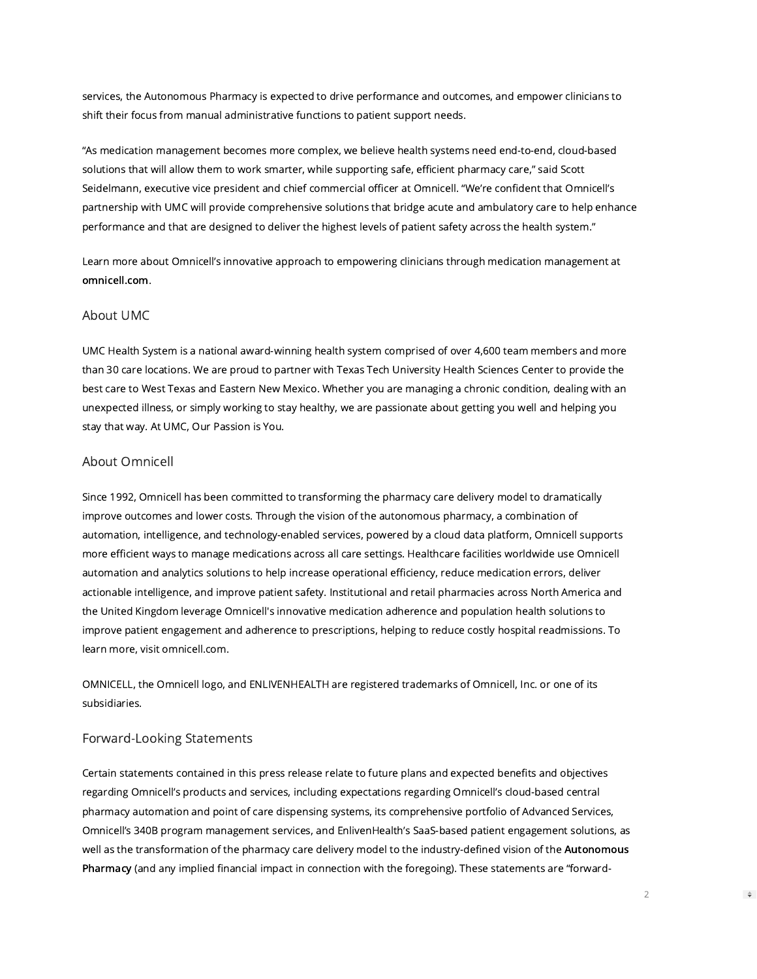services, the Autonomous Pharmacy is expected to drive performance and outcomes, and empower clinicians to shift their focus from manual administrative functions to patient support needs.

"As medication management becomes more complex, we believe health systems need end-to-end, cloud-based solutions that will allow them to work smarter, while supporting safe, efficient pharmacy care," said Scott Seidelmann, executive vice president and chief commercial officer at Omnicell. "We're confident that Omnicell's partnership with UMC will provide comprehensive solutions that bridge acute and ambulatory care to help enhance performance and that are designed to deliver the highest levels of patient safety across the health system."

Learn more about Omnicell's innovative approach to empowering clinicians through medication management at [omnicell.com.](https://cts.businesswire.com/ct/CT?id=smartlink&url=http%3A%2F%2Fwww.omnicell.com&esheet=52578902&newsitemid=20220214005624&lan=en-US&anchor=omnicell.com&index=1&md5=d1f25c2ffe87325446bd6dee0015f934)

### About UMC

UMC Health System is a national award-winning health system comprised of over 4,600 team members and more than 30 care locations. We are proud to partner with Texas Tech University Health Sciences Center to provide the best care to West Texas and Eastern New Mexico. Whether you are managing a chronic condition, dealing with an unexpected illness, or simply working to stay healthy, we are passionate about getting you well and helping you stay that way. At UMC, Our Passion is You.

## About Omnicell

Since 1992, Omnicell has been committed to transforming the pharmacy care delivery model to dramatically improve outcomes and lower costs. Through the vision of the autonomous pharmacy, a combination of automation, intelligence, and technology-enabled services, powered by a cloud data platform, Omnicell supports more efficient ways to manage medications across all care settings. Healthcare facilities worldwide use Omnicell automation and analytics solutions to help increase operational efficiency, reduce medication errors, deliver actionable intelligence, and improve patient safety. Institutional and retail pharmacies across North America and the United Kingdom leverage Omnicell's innovative medication adherence and population health solutions to improve patient engagement and adherence to prescriptions, helping to reduce costly hospital readmissions. To learn more, visit omnicell.com.

OMNICELL, the Omnicell logo, and ENLIVENHEALTH are registered trademarks of Omnicell, Inc. or one of its subsidiaries.

### Forward-Looking Statements

Certain statements contained in this press release relate to future plans and expected benefits and objectives regarding Omnicell's products and services, including expectations regarding Omnicell's cloud-based central pharmacy automation and point of care dispensing systems, its comprehensive portfolio of Advanced Services, Omnicell's 340B program management services, and EnlivenHealth's SaaS-based patient engagement solutions, as well as the transformation of the pharmacy care delivery model to the industry-defined vision of the [Autonomous](https://cts.businesswire.com/ct/CT?id=smartlink&url=http%3A%2F%2Fwww.autonomouspharmacy.com&esheet=52578902&newsitemid=20220214005624&lan=en-US&anchor=Autonomous+Pharmacy&index=2&md5=aaf7e71264832bcc3020fc96b2c7376c) [Pharmacy](https://cts.businesswire.com/ct/CT?id=smartlink&url=http%3A%2F%2Fwww.autonomouspharmacy.com&esheet=52578902&newsitemid=20220214005624&lan=en-US&anchor=Autonomous+Pharmacy&index=2&md5=aaf7e71264832bcc3020fc96b2c7376c) (and any implied financial impact in connection with the foregoing). These statements are "forward-

2

 $\Rightarrow$